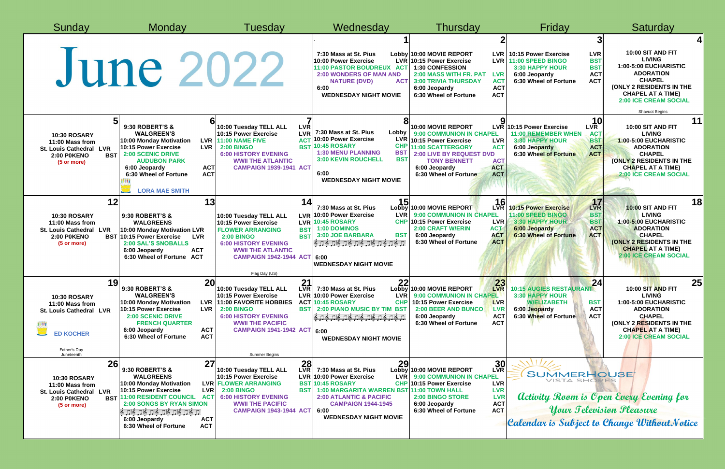| Sunday                                                                                                                                            | Monday                                                                                                                                                                                                                                                                                                        | Tuesdav                                                                                                                                                                                                                                                      | Wednesday                                                                                                                                                                                                                                                | Thursday                                                                                                                                                                                                                                                                                    | Friday                                                                                                                                                                                      | Saturday                                                                                                                                                                                                                  |
|---------------------------------------------------------------------------------------------------------------------------------------------------|---------------------------------------------------------------------------------------------------------------------------------------------------------------------------------------------------------------------------------------------------------------------------------------------------------------|--------------------------------------------------------------------------------------------------------------------------------------------------------------------------------------------------------------------------------------------------------------|----------------------------------------------------------------------------------------------------------------------------------------------------------------------------------------------------------------------------------------------------------|---------------------------------------------------------------------------------------------------------------------------------------------------------------------------------------------------------------------------------------------------------------------------------------------|---------------------------------------------------------------------------------------------------------------------------------------------------------------------------------------------|---------------------------------------------------------------------------------------------------------------------------------------------------------------------------------------------------------------------------|
|                                                                                                                                                   | June 2022                                                                                                                                                                                                                                                                                                     |                                                                                                                                                                                                                                                              | 7:30 Mass at St. Pius<br>10:00 Power Exercise<br>11:00 PASTOR BOUDREUX ACT<br><b>2:00 WONDERS OF MAN AND</b><br><b>ACT</b><br><b>NATURE (DVD)</b><br>6:00<br><b>WEDNESDAY NIGHT MOVIE</b>                                                                | Lobby 10:00 MOVIE REPORT<br><b>LVR</b><br>LVR 10:15 Power Exercise<br>LVR I<br>1:30 CONFESSION<br>2:00 MASS WITH FR. PAT<br><b>LVR</b><br><b>3:00 TRIVIA THURSDAY</b><br><b>ACT</b><br><b>ACT</b><br>6:00 Jeopardy<br><b>ACT</b><br>6:30 Wheel of Fortune                                   | 10:15 Power Exercise<br><b>LVR</b><br><b>BST</b><br>11:00 SPEED BINGO<br><b>BST</b><br>3:30 HAPPY HOUR<br><b>ACT</b><br>6:00 Jeopardy<br><b>ACT</b><br>6:30 Wheel of Fortune                | 10:00 SIT AND FIT<br><b>LIVING</b><br>1:00-5:00 EUCHARISTIC<br><b>ADORATION</b><br><b>CHAPEL</b><br>(ONLY 2 RESIDENTS IN THE<br><b>CHAPEL AT A TIME)</b><br><b>2:00 ICE CREAM SOCIAL</b><br>Shavuot Begins                |
| 5 <sup>1</sup><br><b>10:30 ROSARY</b><br>11:00 Mass from<br><b>St. Louis Cathedral</b><br><b>LVR</b><br><b>2:00 POKENO</b><br>(5 or more)         | 6<br>9:30 ROBERT'S &<br><b>WALGREEN'S</b><br>10:00 Monday Motivation<br>10:15 Power Exercise<br><b>LVR</b><br><b>BST</b> 2:00 SCENIC DRIVE<br><b>AUDUBON PARK</b><br><b>ACT</b><br>6:00 Jeopardy<br><b>ACT</b><br>6:30 Wheel of Fortune<br><b>LORA MAE SMITH</b>                                              | <b>LVR</b><br>10:00 Tuesday TELL ALL<br><b>LVR</b><br>10:15 Power Exercise<br>LVR 11:00 NAME FIVE<br><b>BST</b><br><b>2:00 BINGO</b><br><b>6:00 HISTORY EVENING</b><br><b>WWII THE ATLANTIC</b><br><b>CAMPAIGN 1939-1941 ACT</b>                             | 7:30 Mass at St. Pius<br>Lobby<br>10:00 Power Exercise<br><b>LVR</b><br><b>10:45 ROSARY</b><br><b>CHF</b><br><b>1:30 MENU PLANNING</b><br><b>BST</b><br><b>BST</b><br><b>3:00 KEVIN ROUCHELL</b><br>6:00<br><b>WEDNESDAY NIGHT MOVIE</b>                 | $\mathbf o$<br>10:00 MOVIE REPORT<br>9:00 COMMUNION IN CHAPEL<br>10:15 Power Exercise<br><b>LVR</b><br><b>11:00 SCATTERGORY</b><br><b>ACT</b><br><b>2:00 LIVE BY REQUEST DVD</b><br><b>ACT</b><br><b>TONY BENNETT</b><br><b>ACT</b><br>6:00 Jeopardy<br><b>ACT</b><br>6:30 Wheel of Fortune | LVR<br>$LVR$ 10:15 Power Exercise<br><b>11:00 REMEMBER WHEN</b><br><b>ACT</b><br><b>3:30 HAPPY HOUR</b><br><b>BST</b><br><b>ACT</b><br>6:00 Jeopardy<br><b>ACT</b><br>6:30 Wheel of Fortune | 11<br>10:00 SIT AND FIT<br><b>LIVING</b><br>1:00-5:00 EUCHARISTIC<br><b>ADORATION</b><br><b>CHAPEL</b><br>(ONLY 2 RESIDENTS IN THE<br><b>CHAPEL AT A TIME)</b><br><b>2:00 ICE CREAM SOCIAL</b>                            |
| 12<br><b>10:30 ROSARY</b><br>11:00 Mass from<br><b>St. Louis Cathedral LVR</b><br><b>2:00 POKENO</b><br>(5 or more)                               | 13<br>9:30 ROBERT'S &<br><b>WALGREENS</b><br>10:00 Monday Motivation LVR<br><b>BST 10:15 Power Exercise</b><br><b>LVR</b><br>2:00 SAL'S SNOBALLS<br><b>ACT</b><br>6:00 Jeopardy<br><b>ACT</b><br>6:30 Wheel of Fortune                                                                                        | 14<br>10:00 Tuesday TELL ALL<br>10:15 Power Exercise<br><b>FLOWER ARRANGING</b><br><b>BST</b><br><b>BST</b><br><b>2:00 BINGO</b><br><b>6:00 HISTORY EVENING</b><br><b>WWII THE ATLANTIC</b><br>CAMPAIGN 1942-1944 ACT 6:00<br>Flag Day (US)                  | 15<br>7:30 Mass at St. Pius<br>LVR 10:00 Power Exercise<br><b>LVR</b><br>LVR 10:45 ROSARY<br>1:00 DOMINOS<br><b>BST</b><br>3:00 JOE BARBARA<br>த் நடித்து திருத்து திருத்துத்து.<br><b>WEDNESDAY NIGHT MOVIE</b>                                         | 16<br>Lobby 10:00 MOVIE REPORT<br><b>9:00 COMMUNION IN CHAPEL</b><br><b>CHP 10:15 Power Exercise</b><br><b>LVR</b><br><b>2:00 CRAFT W/ERIN</b><br><b>ACT</b><br><b>ACT</b><br>6:00 Jeopardy<br><b>ACT</b><br>6:30 Wheel of Fortune                                                          | 17<br><b>10:15 Power Exercise</b><br><b>BST</b><br>11:00 SPEED BINGO<br><b>BST</b><br>3:30 HAPPY HOUR<br><b>ACT</b><br>6:00 Jeopardy<br><b>ACT</b><br><b>6:30 Wheel of Fortune</b>          | 18 <sup>l</sup><br><b>10:00 SIT AND FIT</b><br><b>LIVING</b><br>1:00-5:00 EUCHARISTIC<br><b>ADORATION</b><br><b>CHAPEL</b><br><b>(ONLY 2 RESIDENTS IN THE</b><br><b>CHAPEL AT A TIME)</b><br><b>2:00 ICE CREAM SOCIAL</b> |
| 10 <sub>o</sub><br>IJ<br><b>10:30 ROSARY</b><br>11:00 Mass from<br>St. Louis Cathedral LVR<br>豐<br><b>ED KOCHER</b><br>Father's Day<br>Juneteenth | 20<br>9:30 ROBERT'S &<br><b>WALGREEN'S</b><br>10:00 Monday Motivation<br><b>LVR</b><br><b>LVR</b><br>10:15 Power Exercise<br><b>2:00 SCENIC DRIVE</b><br><b>FRENCH QUARTER</b><br><b>ACT</b><br>6:00 Jeopardy<br>6:30 Wheel of Fortune<br><b>ACT</b>                                                          | 2 <sub>1</sub><br><b>LVR</b><br>10:00 Tuesday TELL ALL<br>10:15 Power Exercise<br>11:00 FAVORITE HOBBIES<br><b>BST</b><br><b>2:00 BINGO</b><br><b>6:00 HISTORY EVENING</b><br><b>WWII THE PACIFIC</b><br>CAMPAIGN 1941-1942 ACT 6:00<br><b>Summer Begins</b> | 22<br>7:30 Mass at St. Pius<br>LVR 10:00 Power Exercise<br><b>LVR</b><br><b>ACT 10:45 ROSARY</b><br><b>CHP</b><br>2:00 PIANO MUSIC BY TIM BST<br>த் அடித்து திருத்து திருத்து திர<br><b>WEDNESDAY NIGHT MOVIE</b>                                        | 23<br>Lobby 10:00 MOVIE REPORT<br>LVR<br>9:00 COMMUNION IN CHAPEL<br>10:15 Power Exercise<br><b>LVR</b><br><b>2:00 BEER AND BUNCO</b><br><b>LVR</b><br><b>ACT</b><br>6:00 Jeopardy<br><b>ACT</b><br>6:30 Wheel of Fortune                                                                   | 10:15 AUGIES RESTAURANT<br>3:30 HAPPY HOUR<br><b>W/ELIZABETH</b><br><b>BST</b><br><b>ACT</b><br>6:00 Jeopardy<br><b>ACT</b><br>6:30 Wheel of Fortune                                        | 25<br>10:00 SIT AND FIT<br><b>LIVING</b><br>1:00-5:00 EUCHARISTIC<br><b>ADORATION</b><br><b>CHAPEL</b><br>(ONLY 2 RESIDENTS IN THE<br><b>CHAPEL AT A TIME)</b><br><b>2:00 ICE CREAM SOCIAL</b>                            |
| <b>26</b><br><b>10:30 ROSARY</b><br>11:00 Mass from<br><b>LVR</b><br><b>St. Louis Cathedral</b><br><b>2:00 POKENO</b><br>(5 or more)              | 27<br>9:30 ROBERT'S &<br><b>WALGREENS</b><br>10:00 Monday Motivation<br><b>LVR</b><br>10:15 Power Exercise<br><b>BST 11:00 RESIDENT COUNCIL</b><br>AC <sub>1</sub><br>2:00 SONGS BY RYAN SIMON<br>் திரித்து திரித்து திரித்து திரித்து<br>6:00 Jeopardy<br><b>ACT</b><br>6:30 Wheel of Fortune<br><b>ACT</b> | 28<br>10:00 Tuesday TELL ALL<br>10:15 Power Exercise<br><b>LVR FLOWER ARRANGING</b><br><b>2:00 BINGO</b><br><b>BST</b><br><b>6:00 HISTORY EVENING</b><br><b>WWII THE PACIFIC</b><br><b>CAMPAIGN 1943-1944 ACT</b>                                            | 29<br>7:30 Mass at St. Pius<br>LVR 10:00 Power Exercise<br><b>LVR</b><br><b>BST 10:45 ROSARY</b><br>1:00 MARGARITA WARREN BST 11:00 TOWN HALL<br><b>2:00 ATLANTIC &amp; PACIFIC</b><br><b>CAMPAIGN 1944-1945</b><br>6:00<br><b>WEDNESDAY NIGHT MOVIE</b> | 30 <sub>R</sub><br>Lobby 10:00 MOVIE REPORT<br>9:00 COMMUNION IN CHAPEL<br>CHP 10:15 Power Exercise<br><b>LVR</b><br><b>LVR</b><br><b>LVR</b><br>2:00 BINGO STORE<br><b>ACT</b><br>6:00 Jeopardy<br><b>ACT</b><br>6:30 Wheel of Fortune                                                     | <b>SUMMERHOUSE</b><br>VISTA SHORES<br><b>Activity Room is Open Every Evening for</b><br><b>Your Television Pleasure</b><br>Calendar is Subject to Change WithoutNotice                      |                                                                                                                                                                                                                           |